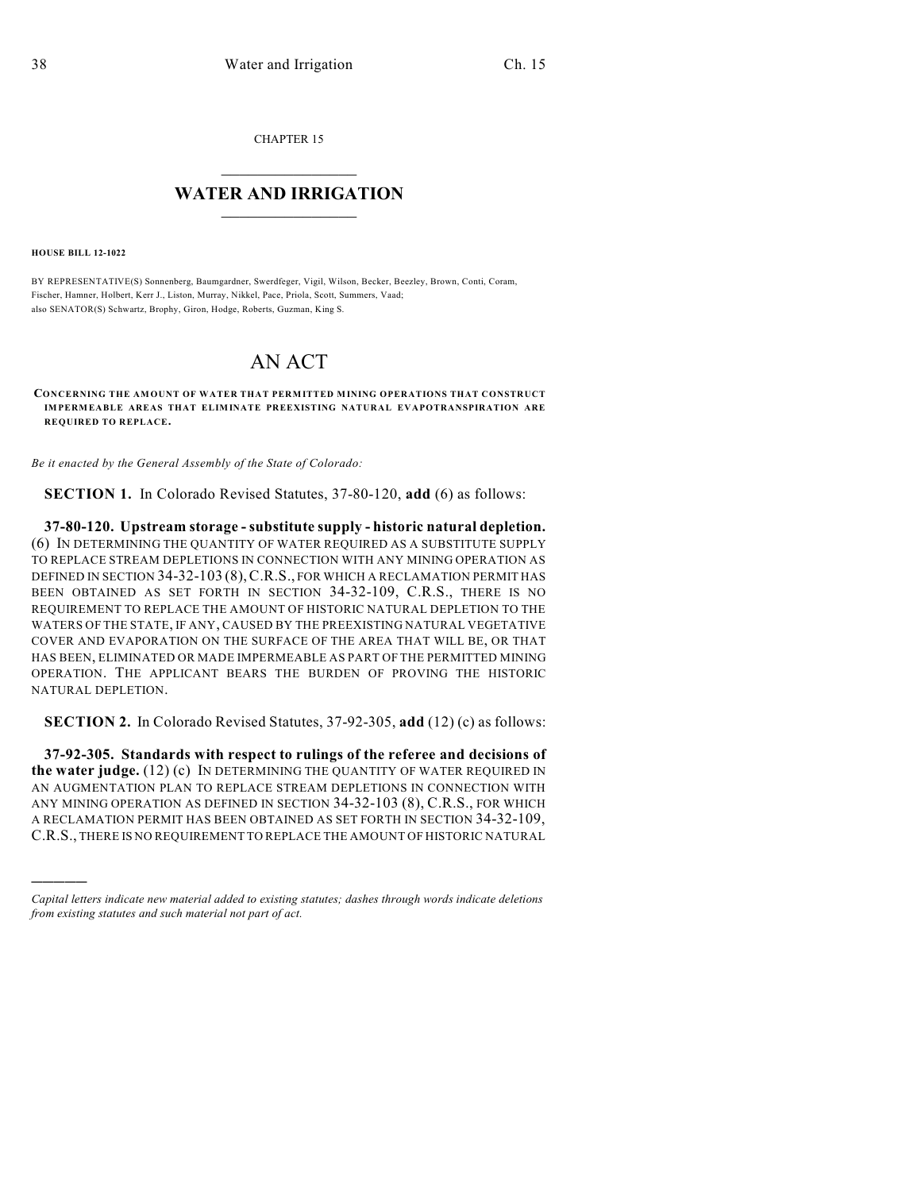CHAPTER 15

## $\mathcal{L}_\text{max}$  . The set of the set of the set of the set of the set of the set of the set of the set of the set of the set of the set of the set of the set of the set of the set of the set of the set of the set of the set **WATER AND IRRIGATION**  $\_$   $\_$

**HOUSE BILL 12-1022**

)))))

BY REPRESENTATIVE(S) Sonnenberg, Baumgardner, Swerdfeger, Vigil, Wilson, Becker, Beezley, Brown, Conti, Coram, Fischer, Hamner, Holbert, Kerr J., Liston, Murray, Nikkel, Pace, Priola, Scott, Summers, Vaad; also SENATOR(S) Schwartz, Brophy, Giron, Hodge, Roberts, Guzman, King S.

## AN ACT

**CONCERNING THE AMOUNT OF WATER THAT PERMITTED MINING OPERATIONS THAT CONSTRUCT IMPERMEABLE AREAS THAT ELIMINATE PREEXISTING NATURAL EVAPOTRANSPIRATION ARE REQUIRED TO REPLACE.**

*Be it enacted by the General Assembly of the State of Colorado:*

**SECTION 1.** In Colorado Revised Statutes, 37-80-120, **add** (6) as follows:

**37-80-120. Upstream storage - substitute supply - historic natural depletion.** (6) IN DETERMINING THE QUANTITY OF WATER REQUIRED AS A SUBSTITUTE SUPPLY TO REPLACE STREAM DEPLETIONS IN CONNECTION WITH ANY MINING OPERATION AS DEFINED IN SECTION 34-32-103 (8),C.R.S., FOR WHICH A RECLAMATION PERMIT HAS BEEN OBTAINED AS SET FORTH IN SECTION 34-32-109, C.R.S., THERE IS NO REQUIREMENT TO REPLACE THE AMOUNT OF HISTORIC NATURAL DEPLETION TO THE WATERS OF THE STATE, IF ANY, CAUSED BY THE PREEXISTING NATURAL VEGETATIVE COVER AND EVAPORATION ON THE SURFACE OF THE AREA THAT WILL BE, OR THAT HAS BEEN, ELIMINATED OR MADE IMPERMEABLE AS PART OF THE PERMITTED MINING OPERATION. THE APPLICANT BEARS THE BURDEN OF PROVING THE HISTORIC NATURAL DEPLETION.

**SECTION 2.** In Colorado Revised Statutes, 37-92-305, **add** (12) (c) as follows:

**37-92-305. Standards with respect to rulings of the referee and decisions of the water judge.** (12) (c) IN DETERMINING THE QUANTITY OF WATER REQUIRED IN AN AUGMENTATION PLAN TO REPLACE STREAM DEPLETIONS IN CONNECTION WITH ANY MINING OPERATION AS DEFINED IN SECTION 34-32-103 (8), C.R.S., FOR WHICH A RECLAMATION PERMIT HAS BEEN OBTAINED AS SET FORTH IN SECTION 34-32-109, C.R.S., THERE IS NO REQUIREMENT TO REPLACE THE AMOUNT OF HISTORIC NATURAL

*Capital letters indicate new material added to existing statutes; dashes through words indicate deletions from existing statutes and such material not part of act.*